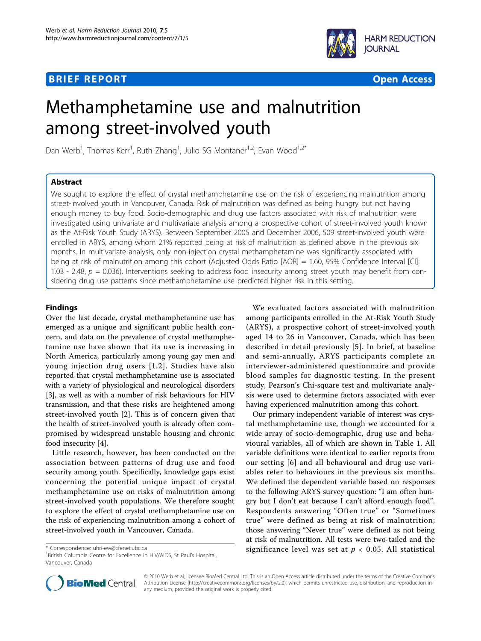# **BRIEF REPORT CONSTRUCTION CONSTRUCTION CONSTRUCTS**



# Methamphetamine use and malnutrition among street-involved youth

Dan Werb<sup>1</sup>, Thomas Kerr<sup>1</sup>, Ruth Zhang<sup>1</sup>, Julio SG Montaner<sup>1,2</sup>, Evan Wood<sup>1,2\*</sup>

## Abstract

We sought to explore the effect of crystal methamphetamine use on the risk of experiencing malnutrition among street-involved youth in Vancouver, Canada. Risk of malnutrition was defined as being hungry but not having enough money to buy food. Socio-demographic and drug use factors associated with risk of malnutrition were investigated using univariate and multivariate analysis among a prospective cohort of street-involved youth known as the At-Risk Youth Study (ARYS). Between September 2005 and December 2006, 509 street-involved youth were enrolled in ARYS, among whom 21% reported being at risk of malnutrition as defined above in the previous six months. In multivariate analysis, only non-injection crystal methamphetamine was significantly associated with being at risk of malnutrition among this cohort (Adjusted Odds Ratio [AOR] = 1.60, 95% Confidence Interval [CI]: 1.03 - 2.48,  $p = 0.036$ ). Interventions seeking to address food insecurity among street youth may benefit from considering drug use patterns since methamphetamine use predicted higher risk in this setting.

## Findings

Over the last decade, crystal methamphetamine use has emerged as a unique and significant public health concern, and data on the prevalence of crystal methamphetamine use have shown that its use is increasing in North America, particularly among young gay men and young injection drug users [[1](#page-3-0),[2](#page-3-0)]. Studies have also reported that crystal methamphetamine use is associated with a variety of physiological and neurological disorders [[3\]](#page-3-0), as well as with a number of risk behaviours for HIV transmission, and that these risks are heightened among street-involved youth [\[2](#page-3-0)]. This is of concern given that the health of street-involved youth is already often compromised by widespread unstable housing and chronic food insecurity [\[4\]](#page-3-0).

Little research, however, has been conducted on the association between patterns of drug use and food security among youth. Specifically, knowledge gaps exist concerning the potential unique impact of crystal methamphetamine use on risks of malnutrition among street-involved youth populations. We therefore sought to explore the effect of crystal methamphetamine use on the risk of experiencing malnutrition among a cohort of street-involved youth in Vancouver, Canada.

We evaluated factors associated with malnutrition among participants enrolled in the At-Risk Youth Study (ARYS), a prospective cohort of street-involved youth aged 14 to 26 in Vancouver, Canada, which has been described in detail previously [[5\]](#page-3-0). In brief, at baseline and semi-annually, ARYS participants complete an interviewer-administered questionnaire and provide blood samples for diagnostic testing. In the present study, Pearson's Chi-square test and multivariate analysis were used to determine factors associated with ever having experienced malnutrition among this cohort.

Our primary independent variable of interest was crystal methamphetamine use, though we accounted for a wide array of socio-demographic, drug use and behavioural variables, all of which are shown in Table [1.](#page-1-0) All variable definitions were identical to earlier reports from our setting [[6](#page-3-0)] and all behavioural and drug use variables refer to behaviours in the previous six months. We defined the dependent variable based on responses to the following ARYS survey question: "I am often hungry but I don't eat because I can't afford enough food". Respondents answering "Often true" or "Sometimes true" were defined as being at risk of malnutrition; those answering "Never true" were defined as not being at risk of malnutrition. All tests were two-tailed and the \* Correspondence: [uhri-ew@cfenet.ubc.ca](mailto:uhri-ew@cfenet.ubc.ca) **blue significance level was set at**  $p < 0.05$ **.** All statistical



© 2010 Werb et al; licensee BioMed Central Ltd. This is an Open Access article distributed under the terms of the Creative Commons Attribution License [\(http://creativecommons.org/licenses/by/2.0](http://creativecommons.org/licenses/by/2.0)), which permits unrestricted use, distribution, and reproduction in any medium, provided the original work is properly cited.

<sup>&</sup>lt;sup>1</sup> British Columbia Centre for Excellence in HIV/AIDS, St Paul's Hospital, Vancouver, Canada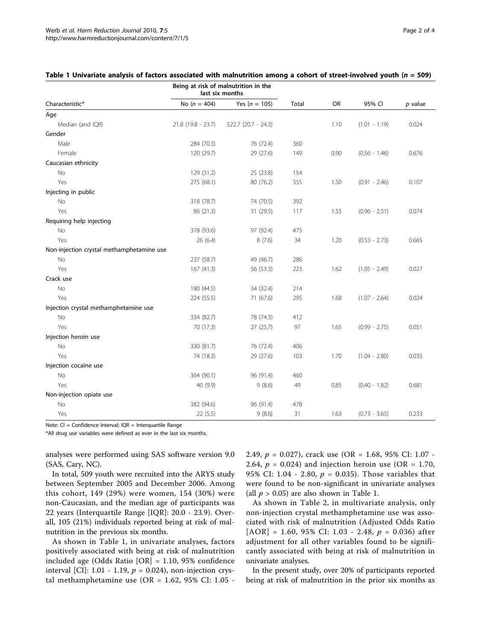| Characteristic*                           | Being at risk of malnutrition in the<br>last six months |                        |       |      |                 |           |
|-------------------------------------------|---------------------------------------------------------|------------------------|-------|------|-----------------|-----------|
|                                           | No ( $n = 404$ )                                        | Yes ( $n = 105$ )      | Total | OR   | 95% CI          | $p$ value |
| Age                                       |                                                         |                        |       |      |                 |           |
| Median (and IQR)                          | $21.8(19.8 - 23.7)$                                     | $.522.7$ (20.7 - 24.3) |       | 1.10 | $(1.01 - 1.19)$ | 0.024     |
| Gender                                    |                                                         |                        |       |      |                 |           |
| Male                                      | 284 (70.3)                                              | 76 (72.4)              | 360   |      |                 |           |
| Female                                    | 120 (29.7)                                              | 29 (27.6)              | 149   | 0.90 | $(0.56 - 1.46)$ | 0.676     |
| Caucasian ethnicity                       |                                                         |                        |       |      |                 |           |
| No                                        | 129 (31.2)                                              | 25 (23.8)              | 154   |      |                 |           |
| Yes                                       | 275 (68.1)                                              | 80 (76.2)              | 355   | 1.50 | $(0.91 - 2.46)$ | 0.107     |
| Injecting in public                       |                                                         |                        |       |      |                 |           |
| No                                        | 318 (78.7)                                              | 74 (70.5)              | 392   |      |                 |           |
| Yes                                       | 86 (21.3)                                               | 31 (29.5)              | 117   | 1.55 | $(0.96 - 2.51)$ | 0.074     |
| Requiring help injecting                  |                                                         |                        |       |      |                 |           |
| No                                        | 378 (93.6)                                              | 97 (92.4)              | 475   |      |                 |           |
| Yes                                       | 26 (6.4)                                                | 8(7.6)                 | 34    | 1.20 | $(0.53 - 2.73)$ | 0.665     |
| Non-injection crystal methamphetamine use |                                                         |                        |       |      |                 |           |
| No                                        | 237 (58.7)                                              | 49 (46.7)              | 286   |      |                 |           |
| Yes                                       | 167(41.3)                                               | 56 (53.3)              | 223   | 1.62 | $(1.05 - 2.49)$ | 0.027     |
| Crack use                                 |                                                         |                        |       |      |                 |           |
| No                                        | 180 (44.5)                                              | 34 (32.4)              | 214   |      |                 |           |
| Yes                                       | 224 (55.5)                                              | 71 (67.6)              | 295   | 1.68 | $(1.07 - 2.64)$ | 0.024     |
| Injection crystal methamphetamine use     |                                                         |                        |       |      |                 |           |
| No                                        | 334 (82.7)                                              | 78 (74.3)              | 412   |      |                 |           |
| Yes                                       | 70 (17.3)                                               | 27(25.7)               | 97    | 1.65 | $(0.99 - 2.75)$ | 0.051     |
| Injection heroin use                      |                                                         |                        |       |      |                 |           |
| No                                        | 330 (81.7)                                              | 76 (72.4)              | 406   |      |                 |           |
| Yes                                       | 74 (18.3)                                               | 29 (27.6)              | 103   | 1.70 | $(1.04 - 2.80)$ | 0.035     |
| Injection cocaine use                     |                                                         |                        |       |      |                 |           |
| <b>No</b>                                 | 364 (90.1)                                              | 96 (91.4)              | 460   |      |                 |           |
| Yes                                       | 40 (9.9)                                                | 9(8.6)                 | 49    | 0.85 | $(0.40 - 1.82)$ | 0.681     |
| Non-injection opiate use                  |                                                         |                        |       |      |                 |           |
| <b>No</b>                                 | 382 (94.6)                                              | 96 (91.4)              | 478   |      |                 |           |
| Yes                                       | 22(5.5)                                                 | 9(8.6)                 | 31    | 1.63 | $(0.73 - 3.65)$ | 0.233     |

<span id="page-1-0"></span>

|  |  |  |  | Table 1 Univariate analysis of factors associated with malnutrition among a cohort of street-involved youth (n = 509) |  |
|--|--|--|--|-----------------------------------------------------------------------------------------------------------------------|--|
|--|--|--|--|-----------------------------------------------------------------------------------------------------------------------|--|

Note: CI = Confidence Interval; IQR = Interquartile Range

\*All drug use variables were defined as ever in the last six months.

analyses were performed using SAS software version 9.0 (SAS, Cary, NC).

In total, 509 youth were recruited into the ARYS study between September 2005 and December 2006. Among this cohort, 149 (29%) were women, 154 (30%) were non-Caucasian, and the median age of participants was 22 years (Interquartile Range [IQR]: 20.0 - 23.9). Overall, 105 (21%) individuals reported being at risk of malnutrition in the previous six months.

As shown in Table 1, in univariate analyses, factors positively associated with being at risk of malnutrition included age (Odds Ratio [OR] = 1.10, 95% confidence interval [CI]: 1.01 - 1.19,  $p = 0.024$ ), non-injection crystal methamphetamine use (OR = 1.62, 95% CI: 1.05 - 2.49,  $p = 0.027$ , crack use (OR = 1.68, 95% CI: 1.07 -2.64,  $p = 0.024$ ) and injection heroin use (OR = 1.70, 95% CI: 1.04 - 2.80,  $p = 0.035$ ). Those variables that were found to be non-significant in univariate analyses (all  $p > 0.05$ ) are also shown in Table 1.

As shown in Table [2](#page-2-0), in multivariate analysis, only non-injection crystal methamphetamine use was associated with risk of malnutrition (Adjusted Odds Ratio [AOR] = 1.60, 95% CI: 1.03 - 2.48,  $p = 0.036$ ) after adjustment for all other variables found to be significantly associated with being at risk of malnutrition in univariate analyses.

In the present study, over 20% of participants reported being at risk of malnutrition in the prior six months as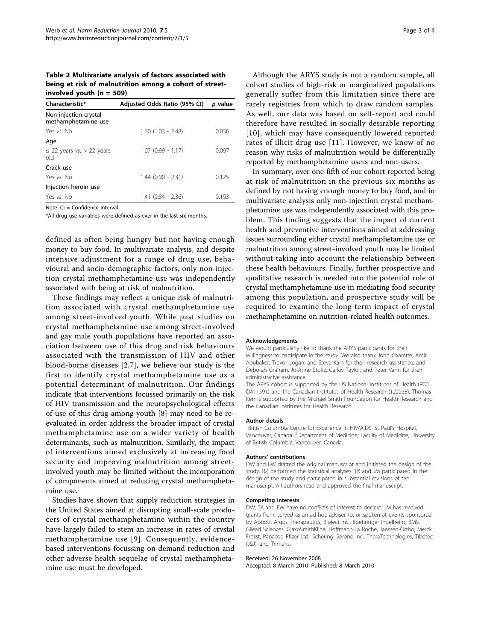<span id="page-2-0"></span>Table 2 Multivariate analysis of factors associated with being at risk of malnutrition among a cohort of streetinvolved youth  $(n = 509)$ 

| Adjusted Odds Ratio (95% CI) | <i>p</i> value |
|------------------------------|----------------|
|                              |                |
| $1.60$ $(1.03 - 2.48)$       | 0.036          |
|                              |                |
| $1.07(0.99 - 1.17)$          | 0.097          |
|                              |                |
| $1.44(0.90 - 2.31)$          | 0.125          |
|                              |                |
| $1.41(0.84 - 2.36)$          | 0.193          |
|                              |                |

Note: CI = Confidence Interval

\*All drug use variables were defined as ever in the last six months.

defined as often being hungry but not having enough money to buy food. In multivariate analysis, and despite intensive adjustment for a range of drug use, behavioural and socio-demographic factors, only non-injection crystal methamphetamine use was independently associated with being at risk of malnutrition.

These findings may reflect a unique risk of malnutrition associated with crystal methamphetamine use among street-involved youth. While past studies on crystal methamphetamine use among street-involved and gay male youth populations have reported an association between use of this drug and risk behaviours associated with the transmission of HIV and other blood-borne diseases [\[2](#page-3-0),[7\]](#page-3-0), we believe our study is the first to identify crystal methamphetamine use as a potential determinant of malnutrition. Our findings indicate that interventions focussed primarily on the risk of HIV transmission and the neuropsychological effects of use of this drug among youth [[8](#page-3-0)] may need to be reevaluated in order address the broader impact of crystal methamphetamine use on a wider variety of health determinants, such as malnutrition. Similarly, the impact of interventions aimed exclusively at increasing food security and improving malnutrition among streetinvolved youth may be limited without the incorporation of components aimed at reducing crystal methamphetamine use.

Studies have shown that supply reduction strategies in the United States aimed at disrupting small-scale producers of crystal methamphetamine within the country have largely failed to stem an increase in rates of crystal methamphetamine use [[9\]](#page-3-0). Consequently, evidencebased interventions focussing on demand reduction and other adverse health sequelae of crystal methamphetamine use must be developed.

Although the ARYS study is not a random sample, all cohort studies of high-risk or marginalized populations generally suffer from this limitation since there are rarely registries from which to draw random samples. As well, our data was based on self-report and could therefore have resulted in socially desirable reporting [[10\]](#page-3-0), which may have consequently lowered reported rates of illicit drug use [[11\]](#page-3-0). However, we know of no reason why risks of malnutrition would be differentially reported by methamphetamine users and non-users.

In summary, over one-fifth of our cohort reported being at risk of malnutrition in the previous six months as defined by not having enough money to buy food, and in multivariate analysis only non-injection crystal methamphetamine use was independently associated with this problem. This finding suggests that the impact of current health and preventive interventions aimed at addressing issues surrounding either crystal methamphetamine use or malnutrition among street-involved youth may be limited without taking into account the relationship between these health behaviours. Finally, further prospective and qualitative research is needed into the potential role of crystal methamphetamine use in mediating food security among this population, and prospective study will be required to examine the long term impact of crystal methamphetamine on nutrition-related health outcomes.

#### Acknowledgements

We would particularly like to thank the ARYS participants for their willingness to participate in the study. We also thank John Charette, Amir Abubaker, Trevor Logan, and Steve Kain for their research assistance, and Deborah Graham, Jo-Anne Stoltz, Carley Taylor, and Peter Vann for their administrative assistance.

The ARYS cohort is supported by the US National Institutes of Health (RO1 DA11591) and the Canadian Institutes of Health Research (122258). Thomas Kerr is supported by the Michael Smith Foundation for Health Research and the Canadian Institutes for Health Research.

#### Author details

<sup>1</sup> British Columbia Centre for Excellence in HIV/AIDS, St Paul's Hospital Vancouver, Canada. <sup>2</sup>Department of Medicine, Faculty of Medicine, University of British Columbia, Vancouver, Canada.

#### Authors' contributions

DW and EW drafted the original manuscript and initiated the design of the study. RZ performed the statistical analyses. TK and JM participated in the design of the study and participated in substantial revisions of the manuscript. All authors read and approved the final manuscript.

#### Competing interests

DW, TK and EW have no conflicts of interest to declare. JM has received grants from, served as an ad hoc adviser to, or spoken at events sponsored by Abbott, Argos Therapeutics, Bioject Inc., Boehringer Ingelheim, BMS, Gilead Sciences, GlaxoSmithKline, Hoffmann-La Roche, Janssen-Ortho, Merck Frosst, Panacos, Pfizer Ltd., Schering, Serono Inc., TheraTechnologies, Tibotec (J&J), and Trimeris.

## Received: 26 November 2008

Accepted: 8 March 2010 Published: 8 March 2010